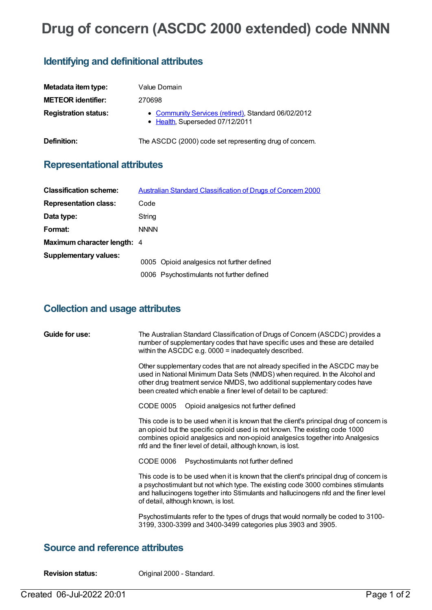# **Drug of concern (ASCDC 2000 extended) code NNNN**

#### **Identifying and definitional attributes**

| Metadata item type:         | Value Domain                                                                           |
|-----------------------------|----------------------------------------------------------------------------------------|
| <b>METEOR identifier:</b>   | 270698                                                                                 |
| <b>Registration status:</b> | • Community Services (retired), Standard 06/02/2012<br>• Health, Superseded 07/12/2011 |
| Definition:                 | The ASCDC (2000) code set representing drug of concern.                                |

## **Representational attributes**

| <b>Classification scheme:</b> | <b>Australian Standard Classification of Drugs of Concern 2000</b> |
|-------------------------------|--------------------------------------------------------------------|
| <b>Representation class:</b>  | Code                                                               |
| Data type:                    | String                                                             |
| Format:                       | <b>NNNN</b>                                                        |
| Maximum character length: 4   |                                                                    |
| <b>Supplementary values:</b>  |                                                                    |
|                               | 0005 Opioid analgesics not further defined                         |
|                               | 0006 Psychostimulants not further defined                          |

## **Collection and usage attributes**

| Guide for use: | The Australian Standard Classification of Drugs of Concern (ASCDC) provides a<br>number of supplementary codes that have specific uses and these are detailed<br>within the ASCDC e.g. 0000 = inadequately described.                                                                                                  |
|----------------|------------------------------------------------------------------------------------------------------------------------------------------------------------------------------------------------------------------------------------------------------------------------------------------------------------------------|
|                | Other supplementary codes that are not already specified in the ASCDC may be<br>used in National Minimum Data Sets (NMDS) when required. In the Alcohol and<br>other drug treatment service NMDS, two additional supplementary codes have<br>been created which enable a finer level of detail to be captured:         |
|                | CODE 0005<br>Opioid analgesics not further defined                                                                                                                                                                                                                                                                     |
|                | This code is to be used when it is known that the client's principal drug of concern is<br>an opioid but the specific opioid used is not known. The existing code 1000<br>combines opioid analgesics and non-opioid analgesics together into Analgesics<br>nfd and the finer level of detail, although known, is lost. |
|                | CODE 0006<br>Psychostimulants not further defined                                                                                                                                                                                                                                                                      |
|                | This code is to be used when it is known that the client's principal drug of concern is<br>a psychostimulant but not which type. The existing code 3000 combines stimulants<br>and hallucinogens together into Stimulants and hallucinogens nfd and the finer level<br>of detail, although known, is lost.             |
|                | Psychostimulants refer to the types of drugs that would normally be coded to 3100-<br>3199, 3300-3399 and 3400-3499 categories plus 3903 and 3905.                                                                                                                                                                     |

### **Source and reference attributes**

**Revision status:** Original 2000 - Standard.